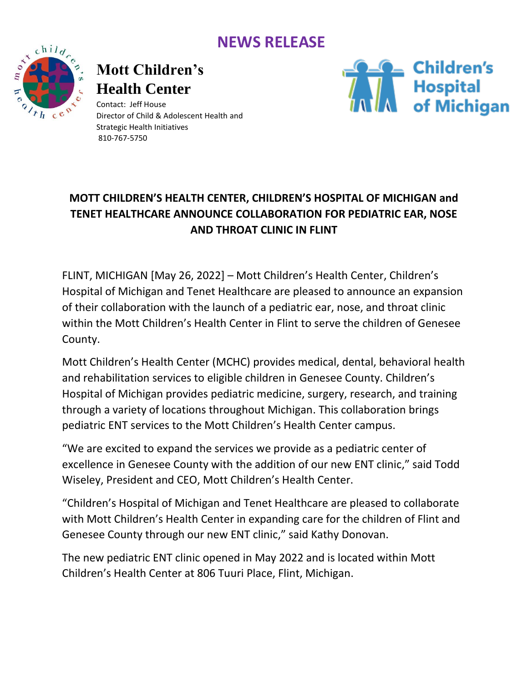### **NEWS RELEASE**



# **Mott Children's Health Center**

Contact: Jeff House Director of Child & Adolescent Health and Strategic Health Initiatives 810-767-5750



#### **MOTT CHILDREN'S HEALTH CENTER, CHILDREN'S HOSPITAL OF MICHIGAN and TENET HEALTHCARE ANNOUNCE COLLABORATION FOR PEDIATRIC EAR, NOSE AND THROAT CLINIC IN FLINT**

FLINT, MICHIGAN [May 26, 2022] – Mott Children's Health Center, Children's Hospital of Michigan and Tenet Healthcare are pleased to announce an expansion of their collaboration with the launch of a pediatric ear, nose, and throat clinic within the Mott Children's Health Center in Flint to serve the children of Genesee County.

Mott Children's Health Center (MCHC) provides medical, dental, behavioral health and rehabilitation services to eligible children in Genesee County. Children's Hospital of Michigan provides pediatric medicine, surgery, research, and training through a variety of locations throughout Michigan. This collaboration brings pediatric ENT services to the Mott Children's Health Center campus.

"We are excited to expand the services we provide as a pediatric center of excellence in Genesee County with the addition of our new ENT clinic," said Todd Wiseley, President and CEO, Mott Children's Health Center.

"Children's Hospital of Michigan and Tenet Healthcare are pleased to collaborate with Mott Children's Health Center in expanding care for the children of Flint and Genesee County through our new ENT clinic," said Kathy Donovan.

The new pediatric ENT clinic opened in May 2022 and is located within Mott Children's Health Center at 806 Tuuri Place, Flint, Michigan.